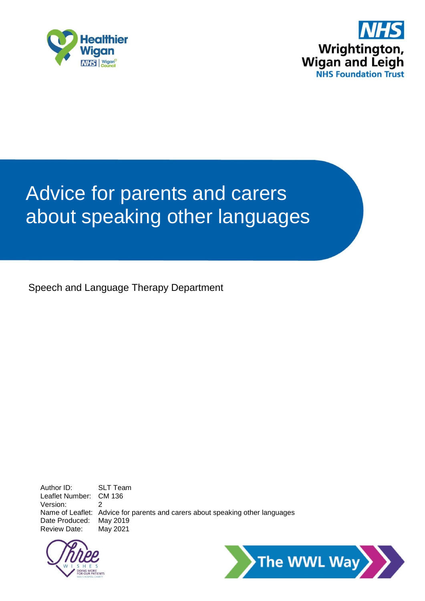



# Advice for parents and carers about speaking other languages

Speech and Language Therapy Department

Author ID: SLT Team Leaflet Number: CM 136 Version: 2 Name of Leaflet: Advice for parents and carers about speaking other languages Date Produced: May 2019 Review Date: May 2021



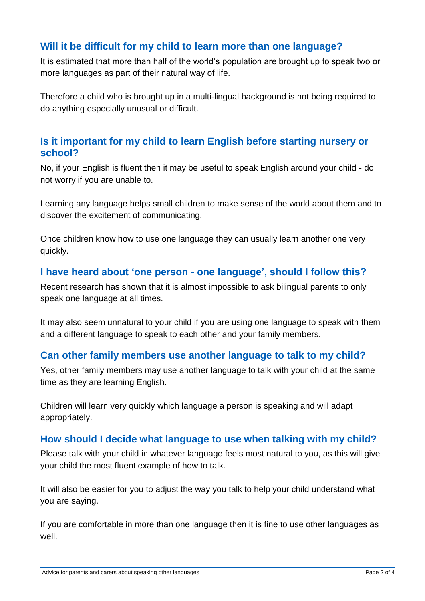## **Will it be difficult for my child to learn more than one language?**

It is estimated that more than half of the world's population are brought up to speak two or more languages as part of their natural way of life.

Therefore a child who is brought up in a multi-lingual background is not being required to do anything especially unusual or difficult.

#### **Is it important for my child to learn English before starting nursery or school?**

No, if your English is fluent then it may be useful to speak English around your child - do not worry if you are unable to.

Learning any language helps small children to make sense of the world about them and to discover the excitement of communicating.

Once children know how to use one language they can usually learn another one very quickly.

#### **I have heard about 'one person - one language', should I follow this?**

Recent research has shown that it is almost impossible to ask bilingual parents to only speak one language at all times.

It may also seem unnatural to your child if you are using one language to speak with them and a different language to speak to each other and your family members.

## **Can other family members use another language to talk to my child?**

Yes, other family members may use another language to talk with your child at the same time as they are learning English.

Children will learn very quickly which language a person is speaking and will adapt appropriately.

#### **How should I decide what language to use when talking with my child?**

Please talk with your child in whatever language feels most natural to you, as this will give your child the most fluent example of how to talk.

It will also be easier for you to adjust the way you talk to help your child understand what you are saying.

If you are comfortable in more than one language then it is fine to use other languages as well.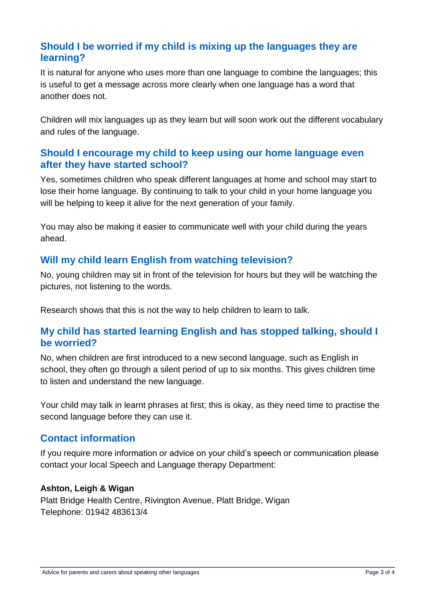## **Should I be worried if my child is mixing up the languages they are learning?**

It is natural for anyone who uses more than one language to combine the languages; this is useful to get a message across more clearly when one language has a word that another does not.

Children will mix languages up as they learn but will soon work out the different vocabulary and rules of the language.

## **Should I encourage my child to keep using our home language even after they have started school?**

Yes, sometimes children who speak different languages at home and school may start to lose their home language. By continuing to talk to your child in your home language you will be helping to keep it alive for the next generation of your family.

You may also be making it easier to communicate well with your child during the years ahead.

#### **Will my child learn English from watching television?**

No, young children may sit in front of the television for hours but they will be watching the pictures, not listening to the words.

Research shows that this is not the way to help children to learn to talk.

#### **My child has started learning English and has stopped talking, should I be worried?**

No, when children are first introduced to a new second language, such as English in school, they often go through a silent period of up to six months. This gives children time to listen and understand the new language.

Your child may talk in learnt phrases at first; this is okay, as they need time to practise the second language before they can use it.

#### **Contact information**

If you require more information or advice on your child's speech or communication please contact your local Speech and Language therapy Department:

#### **Ashton, Leigh & Wigan**

Platt Bridge Health Centre, Rivington Avenue, Platt Bridge, Wigan Telephone: 01942 483613/4